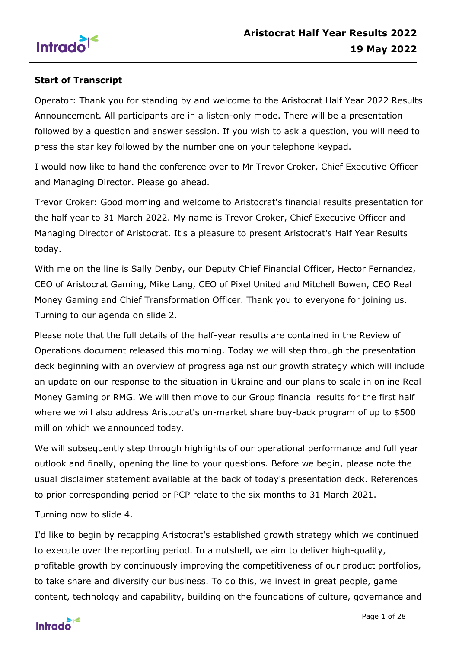

## **Start of Transcript**

Operator: Thank you for standing by and welcome to the Aristocrat Half Year 2022 Results Announcement. All participants are in a listen-only mode. There will be a presentation followed by a question and answer session. If you wish to ask a question, you will need to press the star key followed by the number one on your telephone keypad.

I would now like to hand the conference over to Mr Trevor Croker, Chief Executive Officer and Managing Director. Please go ahead.

Trevor Croker: Good morning and welcome to Aristocrat's financial results presentation for the half year to 31 March 2022. My name is Trevor Croker, Chief Executive Officer and Managing Director of Aristocrat. It's a pleasure to present Aristocrat's Half Year Results today.

With me on the line is Sally Denby, our Deputy Chief Financial Officer, Hector Fernandez, CEO of Aristocrat Gaming, Mike Lang, CEO of Pixel United and Mitchell Bowen, CEO Real Money Gaming and Chief Transformation Officer. Thank you to everyone for joining us. Turning to our agenda on slide 2.

Please note that the full details of the half-year results are contained in the Review of Operations document released this morning. Today we will step through the presentation deck beginning with an overview of progress against our growth strategy which will include an update on our response to the situation in Ukraine and our plans to scale in online Real Money Gaming or RMG. We will then move to our Group financial results for the first half where we will also address Aristocrat's on-market share buy-back program of up to \$500 million which we announced today.

We will subsequently step through highlights of our operational performance and full year outlook and finally, opening the line to your questions. Before we begin, please note the usual disclaimer statement available at the back of today's presentation deck. References to prior corresponding period or PCP relate to the six months to 31 March 2021.

Turning now to slide 4.

I'd like to begin by recapping Aristocrat's established growth strategy which we continued to execute over the reporting period. In a nutshell, we aim to deliver high-quality, profitable growth by continuously improving the competitiveness of our product portfolios, to take share and diversify our business. To do this, we invest in great people, game content, technology and capability, building on the foundations of culture, governance and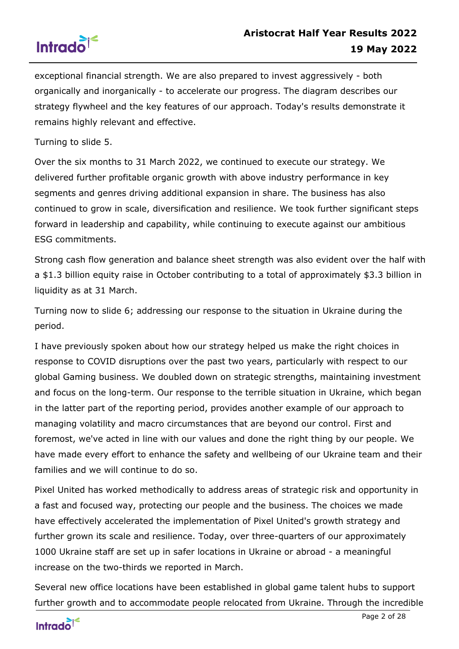

exceptional financial strength. We are also prepared to invest aggressively - both organically and inorganically - to accelerate our progress. The diagram describes our strategy flywheel and the key features of our approach. Today's results demonstrate it remains highly relevant and effective.

Turning to slide 5.

Over the six months to 31 March 2022, we continued to execute our strategy. We delivered further profitable organic growth with above industry performance in key segments and genres driving additional expansion in share. The business has also continued to grow in scale, diversification and resilience. We took further significant steps forward in leadership and capability, while continuing to execute against our ambitious ESG commitments.

Strong cash flow generation and balance sheet strength was also evident over the half with a \$1.3 billion equity raise in October contributing to a total of approximately \$3.3 billion in liquidity as at 31 March.

Turning now to slide 6; addressing our response to the situation in Ukraine during the period.

I have previously spoken about how our strategy helped us make the right choices in response to COVID disruptions over the past two years, particularly with respect to our global Gaming business. We doubled down on strategic strengths, maintaining investment and focus on the long-term. Our response to the terrible situation in Ukraine, which began in the latter part of the reporting period, provides another example of our approach to managing volatility and macro circumstances that are beyond our control. First and foremost, we've acted in line with our values and done the right thing by our people. We have made every effort to enhance the safety and wellbeing of our Ukraine team and their families and we will continue to do so.

Pixel United has worked methodically to address areas of strategic risk and opportunity in a fast and focused way, protecting our people and the business. The choices we made have effectively accelerated the implementation of Pixel United's growth strategy and further grown its scale and resilience. Today, over three-quarters of our approximately 1000 Ukraine staff are set up in safer locations in Ukraine or abroad - a meaningful increase on the two-thirds we reported in March.

Several new office locations have been established in global game talent hubs to support further growth and to accommodate people relocated from Ukraine. Through the incredible

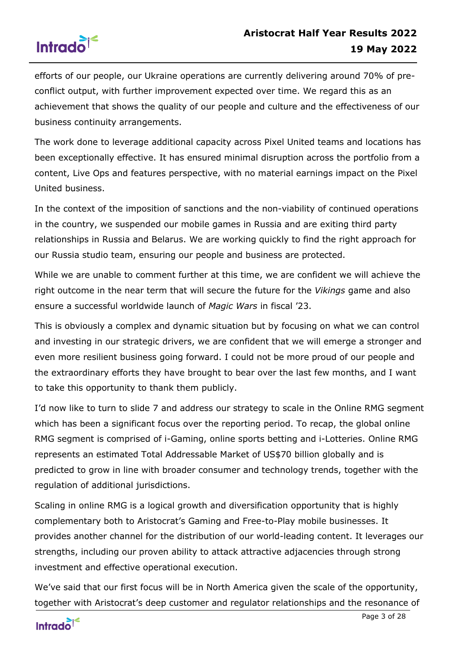

efforts of our people, our Ukraine operations are currently delivering around 70% of preconflict output, with further improvement expected over time. We regard this as an achievement that shows the quality of our people and culture and the effectiveness of our business continuity arrangements.

The work done to leverage additional capacity across Pixel United teams and locations has been exceptionally effective. It has ensured minimal disruption across the portfolio from a content, Live Ops and features perspective, with no material earnings impact on the Pixel United business.

In the context of the imposition of sanctions and the non-viability of continued operations in the country, we suspended our mobile games in Russia and are exiting third party relationships in Russia and Belarus. We are working quickly to find the right approach for our Russia studio team, ensuring our people and business are protected.

While we are unable to comment further at this time, we are confident we will achieve the right outcome in the near term that will secure the future for the *Vikings* game and also ensure a successful worldwide launch of *Magic Wars* in fiscal '23.

This is obviously a complex and dynamic situation but by focusing on what we can control and investing in our strategic drivers, we are confident that we will emerge a stronger and even more resilient business going forward. I could not be more proud of our people and the extraordinary efforts they have brought to bear over the last few months, and I want to take this opportunity to thank them publicly.

I'd now like to turn to slide 7 and address our strategy to scale in the Online RMG segment which has been a significant focus over the reporting period. To recap, the global online RMG segment is comprised of i-Gaming, online sports betting and i-Lotteries. Online RMG represents an estimated Total Addressable Market of US\$70 billion globally and is predicted to grow in line with broader consumer and technology trends, together with the regulation of additional jurisdictions.

Scaling in online RMG is a logical growth and diversification opportunity that is highly complementary both to Aristocrat's Gaming and Free-to-Play mobile businesses. It provides another channel for the distribution of our world-leading content. It leverages our strengths, including our proven ability to attack attractive adjacencies through strong investment and effective operational execution.

We've said that our first focus will be in North America given the scale of the opportunity, together with Aristocrat's deep customer and regulator relationships and the resonance of

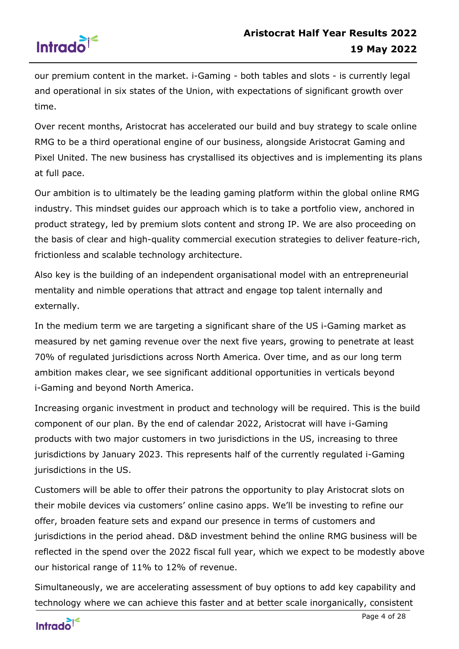

our premium content in the market. i-Gaming - both tables and slots - is currently legal and operational in six states of the Union, with expectations of significant growth over time.

Over recent months, Aristocrat has accelerated our build and buy strategy to scale online RMG to be a third operational engine of our business, alongside Aristocrat Gaming and Pixel United. The new business has crystallised its objectives and is implementing its plans at full pace.

Our ambition is to ultimately be the leading gaming platform within the global online RMG industry. This mindset guides our approach which is to take a portfolio view, anchored in product strategy, led by premium slots content and strong IP. We are also proceeding on the basis of clear and high-quality commercial execution strategies to deliver feature-rich, frictionless and scalable technology architecture.

Also key is the building of an independent organisational model with an entrepreneurial mentality and nimble operations that attract and engage top talent internally and externally.

In the medium term we are targeting a significant share of the US i-Gaming market as measured by net gaming revenue over the next five years, growing to penetrate at least 70% of regulated jurisdictions across North America. Over time, and as our long term ambition makes clear, we see significant additional opportunities in verticals beyond i-Gaming and beyond North America.

Increasing organic investment in product and technology will be required. This is the build component of our plan. By the end of calendar 2022, Aristocrat will have i-Gaming products with two major customers in two jurisdictions in the US, increasing to three jurisdictions by January 2023. This represents half of the currently regulated i-Gaming jurisdictions in the US.

Customers will be able to offer their patrons the opportunity to play Aristocrat slots on their mobile devices via customers' online casino apps. We'll be investing to refine our offer, broaden feature sets and expand our presence in terms of customers and jurisdictions in the period ahead. D&D investment behind the online RMG business will be reflected in the spend over the 2022 fiscal full year, which we expect to be modestly above our historical range of 11% to 12% of revenue.

Simultaneously, we are accelerating assessment of buy options to add key capability and technology where we can achieve this faster and at better scale inorganically, consistent

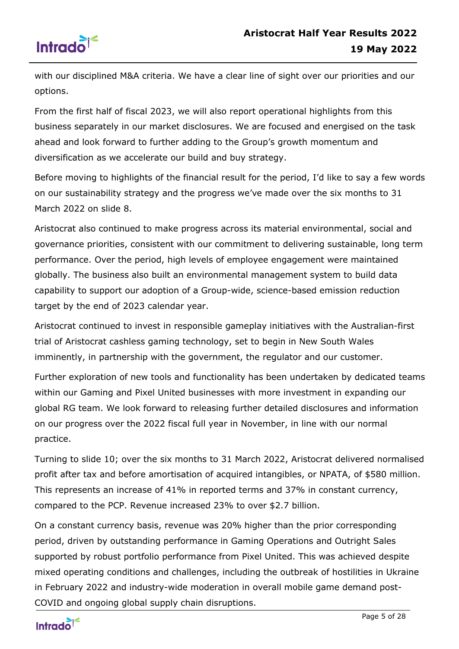

with our disciplined M&A criteria. We have a clear line of sight over our priorities and our options.

From the first half of fiscal 2023, we will also report operational highlights from this business separately in our market disclosures. We are focused and energised on the task ahead and look forward to further adding to the Group's growth momentum and diversification as we accelerate our build and buy strategy.

Before moving to highlights of the financial result for the period, I'd like to say a few words on our sustainability strategy and the progress we've made over the six months to 31 March 2022 on slide 8.

Aristocrat also continued to make progress across its material environmental, social and governance priorities, consistent with our commitment to delivering sustainable, long term performance. Over the period, high levels of employee engagement were maintained globally. The business also built an environmental management system to build data capability to support our adoption of a Group-wide, science-based emission reduction target by the end of 2023 calendar year.

Aristocrat continued to invest in responsible gameplay initiatives with the Australian-first trial of Aristocrat cashless gaming technology, set to begin in New South Wales imminently, in partnership with the government, the regulator and our customer.

Further exploration of new tools and functionality has been undertaken by dedicated teams within our Gaming and Pixel United businesses with more investment in expanding our global RG team. We look forward to releasing further detailed disclosures and information on our progress over the 2022 fiscal full year in November, in line with our normal practice.

Turning to slide 10; over the six months to 31 March 2022, Aristocrat delivered normalised profit after tax and before amortisation of acquired intangibles, or NPATA, of \$580 million. This represents an increase of 41% in reported terms and 37% in constant currency, compared to the PCP. Revenue increased 23% to over \$2.7 billion.

On a constant currency basis, revenue was 20% higher than the prior corresponding period, driven by outstanding performance in Gaming Operations and Outright Sales supported by robust portfolio performance from Pixel United. This was achieved despite mixed operating conditions and challenges, including the outbreak of hostilities in Ukraine in February 2022 and industry-wide moderation in overall mobile game demand post-COVID and ongoing global supply chain disruptions.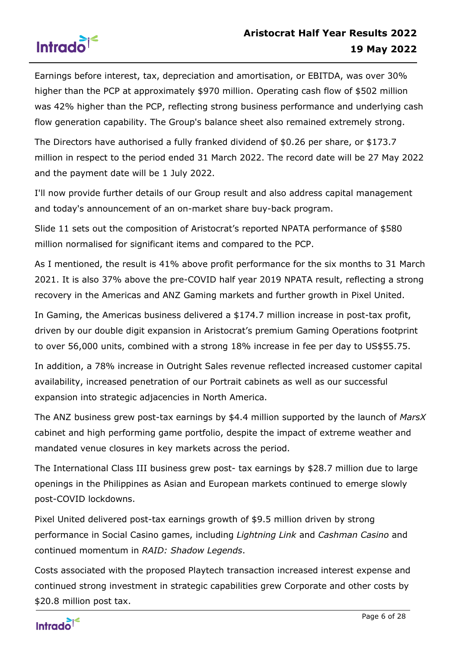



Earnings before interest, tax, depreciation and amortisation, or EBITDA, was over 30% higher than the PCP at approximately \$970 million. Operating cash flow of \$502 million was 42% higher than the PCP, reflecting strong business performance and underlying cash flow generation capability. The Group's balance sheet also remained extremely strong.

The Directors have authorised a fully franked dividend of \$0.26 per share, or \$173.7 million in respect to the period ended 31 March 2022. The record date will be 27 May 2022 and the payment date will be 1 July 2022.

I'll now provide further details of our Group result and also address capital management and today's announcement of an on-market share buy-back program.

Slide 11 sets out the composition of Aristocrat's reported NPATA performance of \$580 million normalised for significant items and compared to the PCP.

As I mentioned, the result is 41% above profit performance for the six months to 31 March 2021. It is also 37% above the pre-COVID half year 2019 NPATA result, reflecting a strong recovery in the Americas and ANZ Gaming markets and further growth in Pixel United.

In Gaming, the Americas business delivered a \$174.7 million increase in post-tax profit, driven by our double digit expansion in Aristocrat's premium Gaming Operations footprint to over 56,000 units, combined with a strong 18% increase in fee per day to US\$55.75.

In addition, a 78% increase in Outright Sales revenue reflected increased customer capital availability, increased penetration of our Portrait cabinets as well as our successful expansion into strategic adjacencies in North America.

The ANZ business grew post-tax earnings by \$4.4 million supported by the launch of *MarsX* cabinet and high performing game portfolio, despite the impact of extreme weather and mandated venue closures in key markets across the period.

The International Class III business grew post- tax earnings by \$28.7 million due to large openings in the Philippines as Asian and European markets continued to emerge slowly post-COVID lockdowns.

Pixel United delivered post-tax earnings growth of \$9.5 million driven by strong performance in Social Casino games, including *Lightning Link* and *Cashman Casino* and continued momentum in *RAID: Shadow Legends*.

Costs associated with the proposed Playtech transaction increased interest expense and continued strong investment in strategic capabilities grew Corporate and other costs by \$20.8 million post tax.

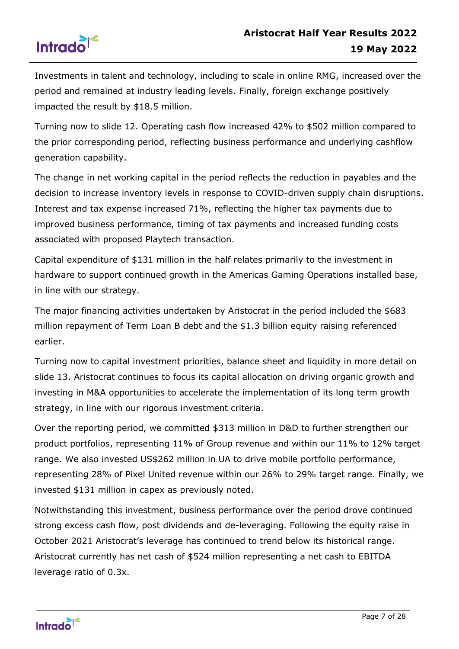

Investments in talent and technology, including to scale in online RMG, increased over the period and remained at industry leading levels. Finally, foreign exchange positively impacted the result by \$18.5 million.

Turning now to slide 12. Operating cash flow increased 42% to \$502 million compared to the prior corresponding period, reflecting business performance and underlying cashflow generation capability.

The change in net working capital in the period reflects the reduction in payables and the decision to increase inventory levels in response to COVID-driven supply chain disruptions. Interest and tax expense increased 71%, reflecting the higher tax payments due to improved business performance, timing of tax payments and increased funding costs associated with proposed Playtech transaction.

Capital expenditure of \$131 million in the half relates primarily to the investment in hardware to support continued growth in the Americas Gaming Operations installed base, in line with our strategy.

The major financing activities undertaken by Aristocrat in the period included the \$683 million repayment of Term Loan B debt and the \$1.3 billion equity raising referenced earlier.

Turning now to capital investment priorities, balance sheet and liquidity in more detail on slide 13. Aristocrat continues to focus its capital allocation on driving organic growth and investing in M&A opportunities to accelerate the implementation of its long term growth strategy, in line with our rigorous investment criteria.

Over the reporting period, we committed \$313 million in D&D to further strengthen our product portfolios, representing 11% of Group revenue and within our 11% to 12% target range. We also invested US\$262 million in UA to drive mobile portfolio performance, representing 28% of Pixel United revenue within our 26% to 29% target range. Finally, we invested \$131 million in capex as previously noted.

Notwithstanding this investment, business performance over the period drove continued strong excess cash flow, post dividends and de-leveraging. Following the equity raise in October 2021 Aristocrat's leverage has continued to trend below its historical range. Aristocrat currently has net cash of \$524 million representing a net cash to EBITDA leverage ratio of 0.3x.

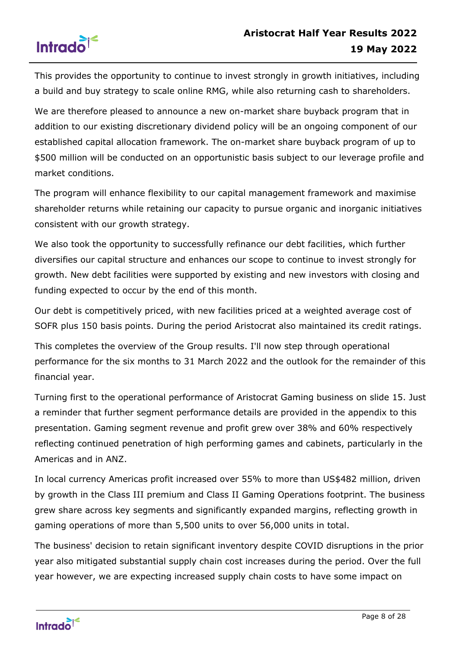

This provides the opportunity to continue to invest strongly in growth initiatives, including a build and buy strategy to scale online RMG, while also returning cash to shareholders.

We are therefore pleased to announce a new on-market share buyback program that in addition to our existing discretionary dividend policy will be an ongoing component of our established capital allocation framework. The on-market share buyback program of up to \$500 million will be conducted on an opportunistic basis subject to our leverage profile and market conditions.

The program will enhance flexibility to our capital management framework and maximise shareholder returns while retaining our capacity to pursue organic and inorganic initiatives consistent with our growth strategy.

We also took the opportunity to successfully refinance our debt facilities, which further diversifies our capital structure and enhances our scope to continue to invest strongly for growth. New debt facilities were supported by existing and new investors with closing and funding expected to occur by the end of this month.

Our debt is competitively priced, with new facilities priced at a weighted average cost of SOFR plus 150 basis points. During the period Aristocrat also maintained its credit ratings.

This completes the overview of the Group results. I'll now step through operational performance for the six months to 31 March 2022 and the outlook for the remainder of this financial year.

Turning first to the operational performance of Aristocrat Gaming business on slide 15. Just a reminder that further segment performance details are provided in the appendix to this presentation. Gaming segment revenue and profit grew over 38% and 60% respectively reflecting continued penetration of high performing games and cabinets, particularly in the Americas and in ANZ.

In local currency Americas profit increased over 55% to more than US\$482 million, driven by growth in the Class III premium and Class II Gaming Operations footprint. The business grew share across key segments and significantly expanded margins, reflecting growth in gaming operations of more than 5,500 units to over 56,000 units in total.

The business' decision to retain significant inventory despite COVID disruptions in the prior year also mitigated substantial supply chain cost increases during the period. Over the full year however, we are expecting increased supply chain costs to have some impact on

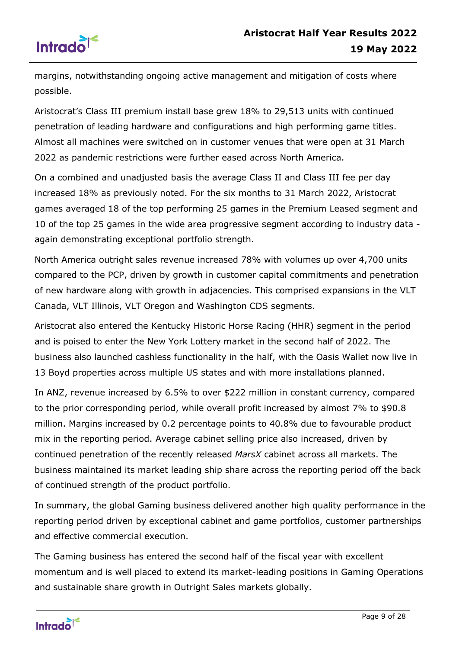

margins, notwithstanding ongoing active management and mitigation of costs where possible.

Aristocrat's Class III premium install base grew 18% to 29,513 units with continued penetration of leading hardware and configurations and high performing game titles. Almost all machines were switched on in customer venues that were open at 31 March 2022 as pandemic restrictions were further eased across North America.

On a combined and unadjusted basis the average Class II and Class III fee per day increased 18% as previously noted. For the six months to 31 March 2022, Aristocrat games averaged 18 of the top performing 25 games in the Premium Leased segment and 10 of the top 25 games in the wide area progressive segment according to industry data again demonstrating exceptional portfolio strength.

North America outright sales revenue increased 78% with volumes up over 4,700 units compared to the PCP, driven by growth in customer capital commitments and penetration of new hardware along with growth in adjacencies. This comprised expansions in the VLT Canada, VLT Illinois, VLT Oregon and Washington CDS segments.

Aristocrat also entered the Kentucky Historic Horse Racing (HHR) segment in the period and is poised to enter the New York Lottery market in the second half of 2022. The business also launched cashless functionality in the half, with the Oasis Wallet now live in 13 Boyd properties across multiple US states and with more installations planned.

In ANZ, revenue increased by 6.5% to over \$222 million in constant currency, compared to the prior corresponding period, while overall profit increased by almost 7% to \$90.8 million. Margins increased by 0.2 percentage points to 40.8% due to favourable product mix in the reporting period. Average cabinet selling price also increased, driven by continued penetration of the recently released *MarsX* cabinet across all markets. The business maintained its market leading ship share across the reporting period off the back of continued strength of the product portfolio.

In summary, the global Gaming business delivered another high quality performance in the reporting period driven by exceptional cabinet and game portfolios, customer partnerships and effective commercial execution.

The Gaming business has entered the second half of the fiscal year with excellent momentum and is well placed to extend its market-leading positions in Gaming Operations and sustainable share growth in Outright Sales markets globally.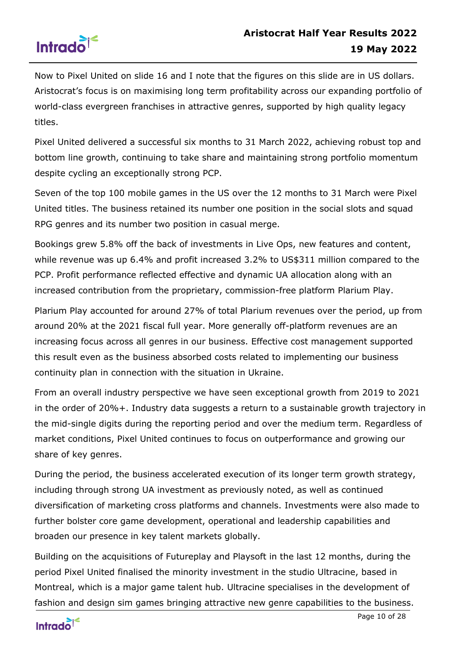

Now to Pixel United on slide 16 and I note that the figures on this slide are in US dollars. Aristocrat's focus is on maximising long term profitability across our expanding portfolio of world-class evergreen franchises in attractive genres, supported by high quality legacy titles.

Pixel United delivered a successful six months to 31 March 2022, achieving robust top and bottom line growth, continuing to take share and maintaining strong portfolio momentum despite cycling an exceptionally strong PCP.

Seven of the top 100 mobile games in the US over the 12 months to 31 March were Pixel United titles. The business retained its number one position in the social slots and squad RPG genres and its number two position in casual merge.

Bookings grew 5.8% off the back of investments in Live Ops, new features and content, while revenue was up 6.4% and profit increased 3.2% to US\$311 million compared to the PCP. Profit performance reflected effective and dynamic UA allocation along with an increased contribution from the proprietary, commission-free platform Plarium Play.

Plarium Play accounted for around 27% of total Plarium revenues over the period, up from around 20% at the 2021 fiscal full year. More generally off-platform revenues are an increasing focus across all genres in our business. Effective cost management supported this result even as the business absorbed costs related to implementing our business continuity plan in connection with the situation in Ukraine.

From an overall industry perspective we have seen exceptional growth from 2019 to 2021 in the order of 20%+. Industry data suggests a return to a sustainable growth trajectory in the mid-single digits during the reporting period and over the medium term. Regardless of market conditions, Pixel United continues to focus on outperformance and growing our share of key genres.

During the period, the business accelerated execution of its longer term growth strategy, including through strong UA investment as previously noted, as well as continued diversification of marketing cross platforms and channels. Investments were also made to further bolster core game development, operational and leadership capabilities and broaden our presence in key talent markets globally.

Building on the acquisitions of Futureplay and Playsoft in the last 12 months, during the period Pixel United finalised the minority investment in the studio Ultracine, based in Montreal, which is a major game talent hub. Ultracine specialises in the development of fashion and design sim games bringing attractive new genre capabilities to the business.

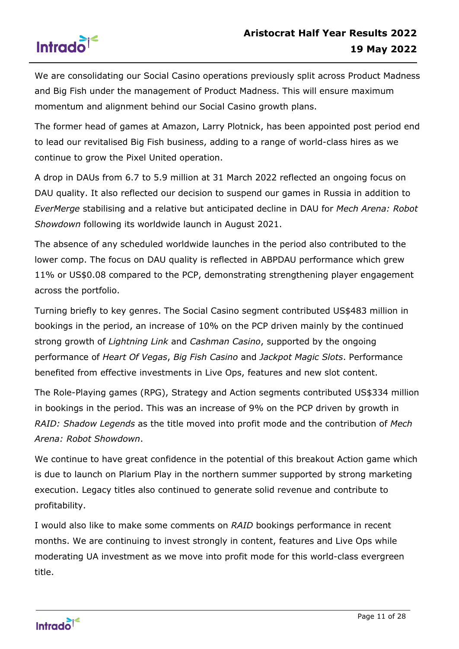

We are consolidating our Social Casino operations previously split across Product Madness and Big Fish under the management of Product Madness. This will ensure maximum momentum and alignment behind our Social Casino growth plans.

The former head of games at Amazon, Larry Plotnick, has been appointed post period end to lead our revitalised Big Fish business, adding to a range of world-class hires as we continue to grow the Pixel United operation.

A drop in DAUs from 6.7 to 5.9 million at 31 March 2022 reflected an ongoing focus on DAU quality. It also reflected our decision to suspend our games in Russia in addition to *EverMerge* stabilising and a relative but anticipated decline in DAU for *Mech Arena: Robot Showdown* following its worldwide launch in August 2021.

The absence of any scheduled worldwide launches in the period also contributed to the lower comp. The focus on DAU quality is reflected in ABPDAU performance which grew 11% or US\$0.08 compared to the PCP, demonstrating strengthening player engagement across the portfolio.

Turning briefly to key genres. The Social Casino segment contributed US\$483 million in bookings in the period, an increase of 10% on the PCP driven mainly by the continued strong growth of *Lightning Link* and *Cashman Casino*, supported by the ongoing performance of *Heart Of Vegas*, *Big Fish Casino* and *Jackpot Magic Slots*. Performance benefited from effective investments in Live Ops, features and new slot content.

The Role-Playing games (RPG), Strategy and Action segments contributed US\$334 million in bookings in the period. This was an increase of 9% on the PCP driven by growth in *RAID: Shadow Legends* as the title moved into profit mode and the contribution of *Mech Arena: Robot Showdown*.

We continue to have great confidence in the potential of this breakout Action game which is due to launch on Plarium Play in the northern summer supported by strong marketing execution. Legacy titles also continued to generate solid revenue and contribute to profitability.

I would also like to make some comments on *RAID* bookings performance in recent months. We are continuing to invest strongly in content, features and Live Ops while moderating UA investment as we move into profit mode for this world-class evergreen title.

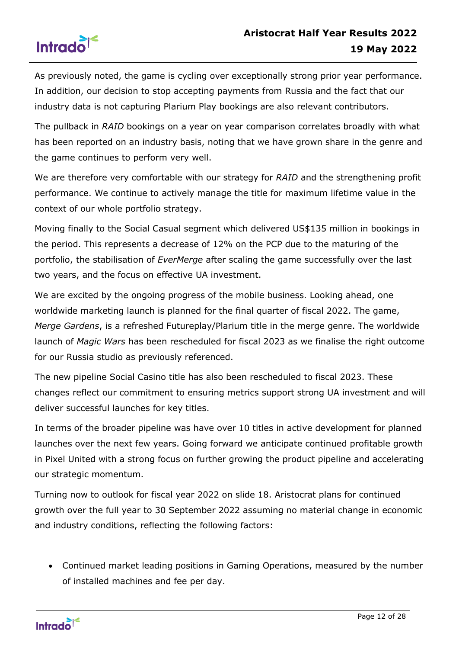

As previously noted, the game is cycling over exceptionally strong prior year performance. In addition, our decision to stop accepting payments from Russia and the fact that our industry data is not capturing Plarium Play bookings are also relevant contributors.

The pullback in *RAID* bookings on a year on year comparison correlates broadly with what has been reported on an industry basis, noting that we have grown share in the genre and the game continues to perform very well.

We are therefore very comfortable with our strategy for *RAID* and the strengthening profit performance. We continue to actively manage the title for maximum lifetime value in the context of our whole portfolio strategy.

Moving finally to the Social Casual segment which delivered US\$135 million in bookings in the period. This represents a decrease of 12% on the PCP due to the maturing of the portfolio, the stabilisation of *EverMerge* after scaling the game successfully over the last two years, and the focus on effective UA investment.

We are excited by the ongoing progress of the mobile business. Looking ahead, one worldwide marketing launch is planned for the final quarter of fiscal 2022. The game, *Merge Gardens*, is a refreshed Futureplay/Plarium title in the merge genre. The worldwide launch of *Magic Wars* has been rescheduled for fiscal 2023 as we finalise the right outcome for our Russia studio as previously referenced.

The new pipeline Social Casino title has also been rescheduled to fiscal 2023. These changes reflect our commitment to ensuring metrics support strong UA investment and will deliver successful launches for key titles.

In terms of the broader pipeline was have over 10 titles in active development for planned launches over the next few years. Going forward we anticipate continued profitable growth in Pixel United with a strong focus on further growing the product pipeline and accelerating our strategic momentum.

Turning now to outlook for fiscal year 2022 on slide 18. Aristocrat plans for continued growth over the full year to 30 September 2022 assuming no material change in economic and industry conditions, reflecting the following factors:

• Continued market leading positions in Gaming Operations, measured by the number of installed machines and fee per day.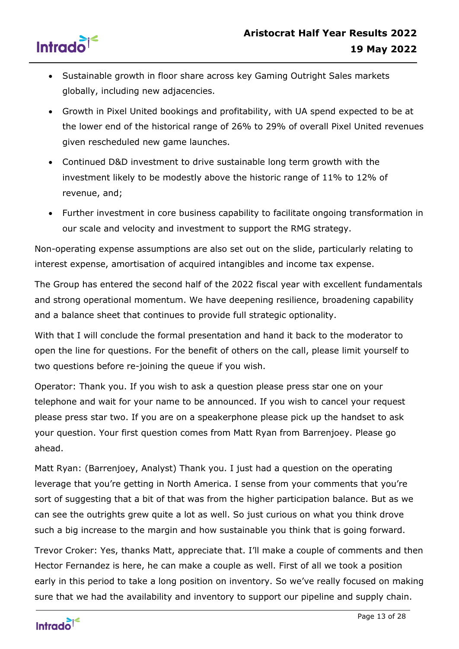



- Sustainable growth in floor share across key Gaming Outright Sales markets globally, including new adjacencies.
- Growth in Pixel United bookings and profitability, with UA spend expected to be at the lower end of the historical range of 26% to 29% of overall Pixel United revenues given rescheduled new game launches.
- Continued D&D investment to drive sustainable long term growth with the investment likely to be modestly above the historic range of 11% to 12% of revenue, and;
- Further investment in core business capability to facilitate ongoing transformation in our scale and velocity and investment to support the RMG strategy.

Non-operating expense assumptions are also set out on the slide, particularly relating to interest expense, amortisation of acquired intangibles and income tax expense.

The Group has entered the second half of the 2022 fiscal year with excellent fundamentals and strong operational momentum. We have deepening resilience, broadening capability and a balance sheet that continues to provide full strategic optionality.

With that I will conclude the formal presentation and hand it back to the moderator to open the line for questions. For the benefit of others on the call, please limit yourself to two questions before re-joining the queue if you wish.

Operator: Thank you. If you wish to ask a question please press star one on your telephone and wait for your name to be announced. If you wish to cancel your request please press star two. If you are on a speakerphone please pick up the handset to ask your question. Your first question comes from Matt Ryan from Barrenjoey. Please go ahead.

Matt Ryan: (Barrenjoey, Analyst) Thank you. I just had a question on the operating leverage that you're getting in North America. I sense from your comments that you're sort of suggesting that a bit of that was from the higher participation balance. But as we can see the outrights grew quite a lot as well. So just curious on what you think drove such a big increase to the margin and how sustainable you think that is going forward.

Trevor Croker: Yes, thanks Matt, appreciate that. I'll make a couple of comments and then Hector Fernandez is here, he can make a couple as well. First of all we took a position early in this period to take a long position on inventory. So we've really focused on making sure that we had the availability and inventory to support our pipeline and supply chain.

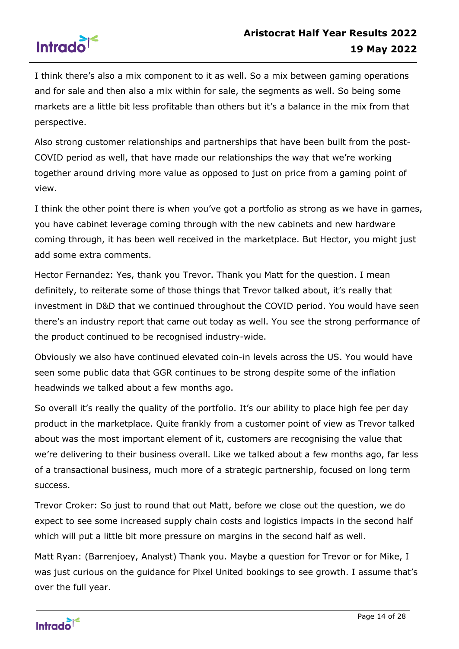

I think there's also a mix component to it as well. So a mix between gaming operations and for sale and then also a mix within for sale, the segments as well. So being some markets are a little bit less profitable than others but it's a balance in the mix from that perspective.

Also strong customer relationships and partnerships that have been built from the post-COVID period as well, that have made our relationships the way that we're working together around driving more value as opposed to just on price from a gaming point of view.

I think the other point there is when you've got a portfolio as strong as we have in games, you have cabinet leverage coming through with the new cabinets and new hardware coming through, it has been well received in the marketplace. But Hector, you might just add some extra comments.

Hector Fernandez: Yes, thank you Trevor. Thank you Matt for the question. I mean definitely, to reiterate some of those things that Trevor talked about, it's really that investment in D&D that we continued throughout the COVID period. You would have seen there's an industry report that came out today as well. You see the strong performance of the product continued to be recognised industry-wide.

Obviously we also have continued elevated coin-in levels across the US. You would have seen some public data that GGR continues to be strong despite some of the inflation headwinds we talked about a few months ago.

So overall it's really the quality of the portfolio. It's our ability to place high fee per day product in the marketplace. Quite frankly from a customer point of view as Trevor talked about was the most important element of it, customers are recognising the value that we're delivering to their business overall. Like we talked about a few months ago, far less of a transactional business, much more of a strategic partnership, focused on long term success.

Trevor Croker: So just to round that out Matt, before we close out the question, we do expect to see some increased supply chain costs and logistics impacts in the second half which will put a little bit more pressure on margins in the second half as well.

Matt Ryan: (Barrenjoey, Analyst) Thank you. Maybe a question for Trevor or for Mike, I was just curious on the guidance for Pixel United bookings to see growth. I assume that's over the full year.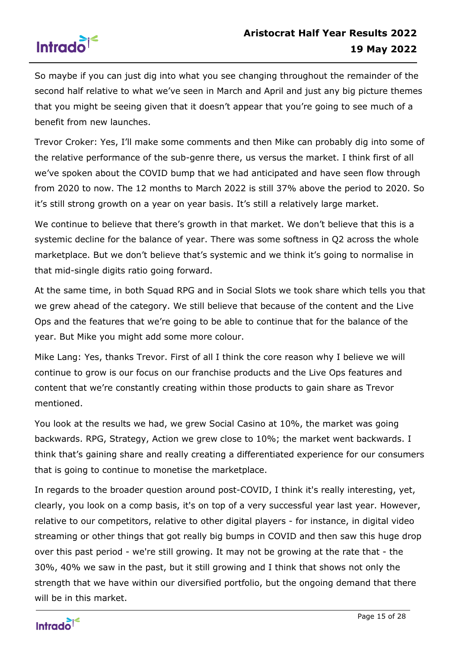

So maybe if you can just dig into what you see changing throughout the remainder of the second half relative to what we've seen in March and April and just any big picture themes that you might be seeing given that it doesn't appear that you're going to see much of a benefit from new launches.

Trevor Croker: Yes, I'll make some comments and then Mike can probably dig into some of the relative performance of the sub-genre there, us versus the market. I think first of all we've spoken about the COVID bump that we had anticipated and have seen flow through from 2020 to now. The 12 months to March 2022 is still 37% above the period to 2020. So it's still strong growth on a year on year basis. It's still a relatively large market.

We continue to believe that there's growth in that market. We don't believe that this is a systemic decline for the balance of year. There was some softness in Q2 across the whole marketplace. But we don't believe that's systemic and we think it's going to normalise in that mid-single digits ratio going forward.

At the same time, in both Squad RPG and in Social Slots we took share which tells you that we grew ahead of the category. We still believe that because of the content and the Live Ops and the features that we're going to be able to continue that for the balance of the year. But Mike you might add some more colour.

Mike Lang: Yes, thanks Trevor. First of all I think the core reason why I believe we will continue to grow is our focus on our franchise products and the Live Ops features and content that we're constantly creating within those products to gain share as Trevor mentioned.

You look at the results we had, we grew Social Casino at 10%, the market was going backwards. RPG, Strategy, Action we grew close to 10%; the market went backwards. I think that's gaining share and really creating a differentiated experience for our consumers that is going to continue to monetise the marketplace.

In regards to the broader question around post-COVID, I think it's really interesting, yet, clearly, you look on a comp basis, it's on top of a very successful year last year. However, relative to our competitors, relative to other digital players - for instance, in digital video streaming or other things that got really big bumps in COVID and then saw this huge drop over this past period - we're still growing. It may not be growing at the rate that - the 30%, 40% we saw in the past, but it still growing and I think that shows not only the strength that we have within our diversified portfolio, but the ongoing demand that there will be in this market.

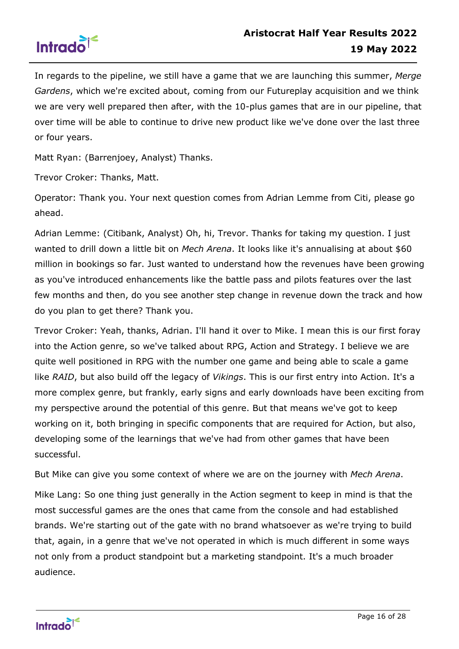

In regards to the pipeline, we still have a game that we are launching this summer, *Merge Gardens*, which we're excited about, coming from our Futureplay acquisition and we think we are very well prepared then after, with the 10-plus games that are in our pipeline, that over time will be able to continue to drive new product like we've done over the last three or four years.

Matt Ryan: (Barrenjoey, Analyst) Thanks.

Trevor Croker: Thanks, Matt.

Operator: Thank you. Your next question comes from Adrian Lemme from Citi, please go ahead.

Adrian Lemme: (Citibank, Analyst) Oh, hi, Trevor. Thanks for taking my question. I just wanted to drill down a little bit on *Mech Arena*. It looks like it's annualising at about \$60 million in bookings so far. Just wanted to understand how the revenues have been growing as you've introduced enhancements like the battle pass and pilots features over the last few months and then, do you see another step change in revenue down the track and how do you plan to get there? Thank you.

Trevor Croker: Yeah, thanks, Adrian. I'll hand it over to Mike. I mean this is our first foray into the Action genre, so we've talked about RPG, Action and Strategy. I believe we are quite well positioned in RPG with the number one game and being able to scale a game like *RAID*, but also build off the legacy of *Vikings*. This is our first entry into Action. It's a more complex genre, but frankly, early signs and early downloads have been exciting from my perspective around the potential of this genre. But that means we've got to keep working on it, both bringing in specific components that are required for Action, but also, developing some of the learnings that we've had from other games that have been successful.

But Mike can give you some context of where we are on the journey with *Mech Arena*.

Mike Lang: So one thing just generally in the Action segment to keep in mind is that the most successful games are the ones that came from the console and had established brands. We're starting out of the gate with no brand whatsoever as we're trying to build that, again, in a genre that we've not operated in which is much different in some ways not only from a product standpoint but a marketing standpoint. It's a much broader audience.

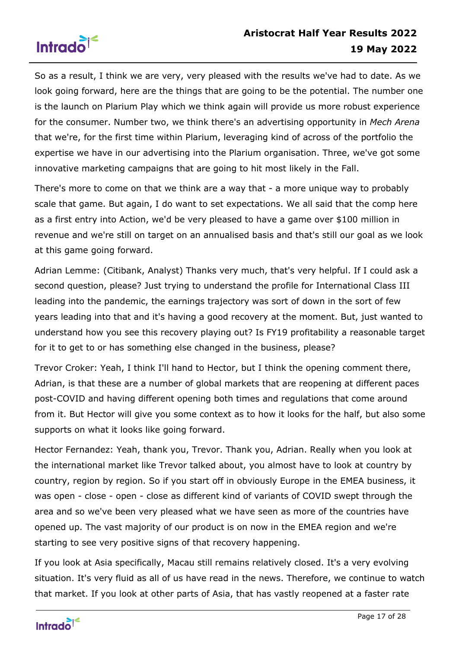

So as a result, I think we are very, very pleased with the results we've had to date. As we look going forward, here are the things that are going to be the potential. The number one is the launch on Plarium Play which we think again will provide us more robust experience for the consumer. Number two, we think there's an advertising opportunity in *Mech Arena* that we're, for the first time within Plarium, leveraging kind of across of the portfolio the expertise we have in our advertising into the Plarium organisation. Three, we've got some innovative marketing campaigns that are going to hit most likely in the Fall.

There's more to come on that we think are a way that - a more unique way to probably scale that game. But again, I do want to set expectations. We all said that the comp here as a first entry into Action, we'd be very pleased to have a game over \$100 million in revenue and we're still on target on an annualised basis and that's still our goal as we look at this game going forward.

Adrian Lemme: (Citibank, Analyst) Thanks very much, that's very helpful. If I could ask a second question, please? Just trying to understand the profile for International Class III leading into the pandemic, the earnings trajectory was sort of down in the sort of few years leading into that and it's having a good recovery at the moment. But, just wanted to understand how you see this recovery playing out? Is FY19 profitability a reasonable target for it to get to or has something else changed in the business, please?

Trevor Croker: Yeah, I think I'll hand to Hector, but I think the opening comment there, Adrian, is that these are a number of global markets that are reopening at different paces post-COVID and having different opening both times and regulations that come around from it. But Hector will give you some context as to how it looks for the half, but also some supports on what it looks like going forward.

Hector Fernandez: Yeah, thank you, Trevor. Thank you, Adrian. Really when you look at the international market like Trevor talked about, you almost have to look at country by country, region by region. So if you start off in obviously Europe in the EMEA business, it was open - close - open - close as different kind of variants of COVID swept through the area and so we've been very pleased what we have seen as more of the countries have opened up. The vast majority of our product is on now in the EMEA region and we're starting to see very positive signs of that recovery happening.

If you look at Asia specifically, Macau still remains relatively closed. It's a very evolving situation. It's very fluid as all of us have read in the news. Therefore, we continue to watch that market. If you look at other parts of Asia, that has vastly reopened at a faster rate

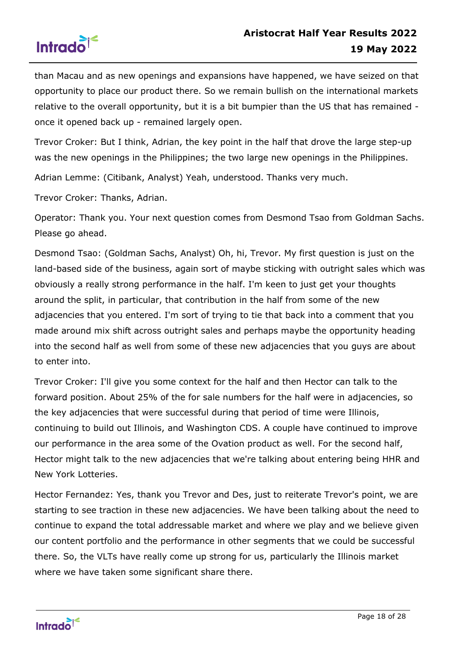



than Macau and as new openings and expansions have happened, we have seized on that opportunity to place our product there. So we remain bullish on the international markets relative to the overall opportunity, but it is a bit bumpier than the US that has remained once it opened back up - remained largely open.

Trevor Croker: But I think, Adrian, the key point in the half that drove the large step-up was the new openings in the Philippines; the two large new openings in the Philippines.

Adrian Lemme: (Citibank, Analyst) Yeah, understood. Thanks very much.

Trevor Croker: Thanks, Adrian.

Operator: Thank you. Your next question comes from Desmond Tsao from Goldman Sachs. Please go ahead.

Desmond Tsao: (Goldman Sachs, Analyst) Oh, hi, Trevor. My first question is just on the land-based side of the business, again sort of maybe sticking with outright sales which was obviously a really strong performance in the half. I'm keen to just get your thoughts around the split, in particular, that contribution in the half from some of the new adjacencies that you entered. I'm sort of trying to tie that back into a comment that you made around mix shift across outright sales and perhaps maybe the opportunity heading into the second half as well from some of these new adjacencies that you guys are about to enter into.

Trevor Croker: I'll give you some context for the half and then Hector can talk to the forward position. About 25% of the for sale numbers for the half were in adjacencies, so the key adjacencies that were successful during that period of time were Illinois, continuing to build out Illinois, and Washington CDS. A couple have continued to improve our performance in the area some of the Ovation product as well. For the second half, Hector might talk to the new adjacencies that we're talking about entering being HHR and New York Lotteries.

Hector Fernandez: Yes, thank you Trevor and Des, just to reiterate Trevor's point, we are starting to see traction in these new adjacencies. We have been talking about the need to continue to expand the total addressable market and where we play and we believe given our content portfolio and the performance in other segments that we could be successful there. So, the VLTs have really come up strong for us, particularly the Illinois market where we have taken some significant share there.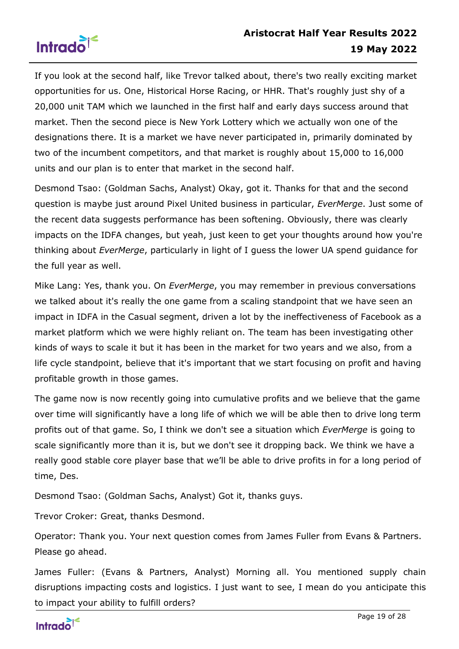

If you look at the second half, like Trevor talked about, there's two really exciting market opportunities for us. One, Historical Horse Racing, or HHR. That's roughly just shy of a 20,000 unit TAM which we launched in the first half and early days success around that market. Then the second piece is New York Lottery which we actually won one of the designations there. It is a market we have never participated in, primarily dominated by two of the incumbent competitors, and that market is roughly about 15,000 to 16,000 units and our plan is to enter that market in the second half.

Desmond Tsao: (Goldman Sachs, Analyst) Okay, got it. Thanks for that and the second question is maybe just around Pixel United business in particular, *EverMerge*. Just some of the recent data suggests performance has been softening. Obviously, there was clearly impacts on the IDFA changes, but yeah, just keen to get your thoughts around how you're thinking about *EverMerge*, particularly in light of I guess the lower UA spend guidance for the full year as well.

Mike Lang: Yes, thank you. On *EverMerge*, you may remember in previous conversations we talked about it's really the one game from a scaling standpoint that we have seen an impact in IDFA in the Casual segment, driven a lot by the ineffectiveness of Facebook as a market platform which we were highly reliant on. The team has been investigating other kinds of ways to scale it but it has been in the market for two years and we also, from a life cycle standpoint, believe that it's important that we start focusing on profit and having profitable growth in those games.

The game now is now recently going into cumulative profits and we believe that the game over time will significantly have a long life of which we will be able then to drive long term profits out of that game. So, I think we don't see a situation which *EverMerge* is going to scale significantly more than it is, but we don't see it dropping back. We think we have a really good stable core player base that we'll be able to drive profits in for a long period of time, Des.

Desmond Tsao: (Goldman Sachs, Analyst) Got it, thanks guys.

Trevor Croker: Great, thanks Desmond.

Operator: Thank you. Your next question comes from James Fuller from Evans & Partners. Please go ahead.

James Fuller: (Evans & Partners, Analyst) Morning all. You mentioned supply chain disruptions impacting costs and logistics. I just want to see, I mean do you anticipate this to impact your ability to fulfill orders?

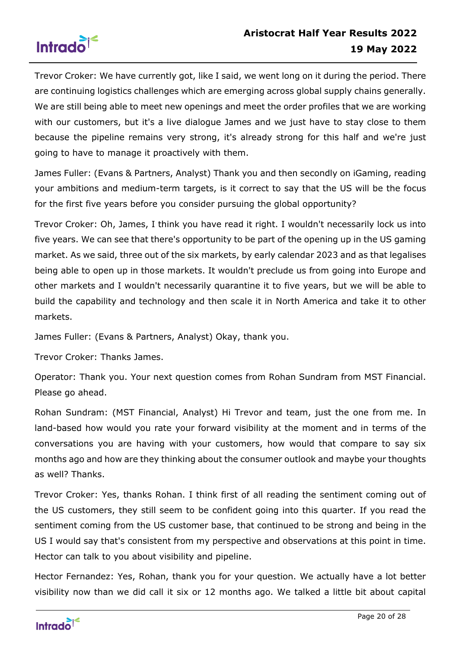

Trevor Croker: We have currently got, like I said, we went long on it during the period. There are continuing logistics challenges which are emerging across global supply chains generally. We are still being able to meet new openings and meet the order profiles that we are working with our customers, but it's a live dialogue James and we just have to stay close to them because the pipeline remains very strong, it's already strong for this half and we're just going to have to manage it proactively with them.

James Fuller: (Evans & Partners, Analyst) Thank you and then secondly on iGaming, reading your ambitions and medium-term targets, is it correct to say that the US will be the focus for the first five years before you consider pursuing the global opportunity?

Trevor Croker: Oh, James, I think you have read it right. I wouldn't necessarily lock us into five years. We can see that there's opportunity to be part of the opening up in the US gaming market. As we said, three out of the six markets, by early calendar 2023 and as that legalises being able to open up in those markets. It wouldn't preclude us from going into Europe and other markets and I wouldn't necessarily quarantine it to five years, but we will be able to build the capability and technology and then scale it in North America and take it to other markets.

James Fuller: (Evans & Partners, Analyst) Okay, thank you.

Trevor Croker: Thanks James.

Operator: Thank you. Your next question comes from Rohan Sundram from MST Financial. Please go ahead.

Rohan Sundram: (MST Financial, Analyst) Hi Trevor and team, just the one from me. In land-based how would you rate your forward visibility at the moment and in terms of the conversations you are having with your customers, how would that compare to say six months ago and how are they thinking about the consumer outlook and maybe your thoughts as well? Thanks.

Trevor Croker: Yes, thanks Rohan. I think first of all reading the sentiment coming out of the US customers, they still seem to be confident going into this quarter. If you read the sentiment coming from the US customer base, that continued to be strong and being in the US I would say that's consistent from my perspective and observations at this point in time. Hector can talk to you about visibility and pipeline.

Hector Fernandez: Yes, Rohan, thank you for your question. We actually have a lot better visibility now than we did call it six or 12 months ago. We talked a little bit about capital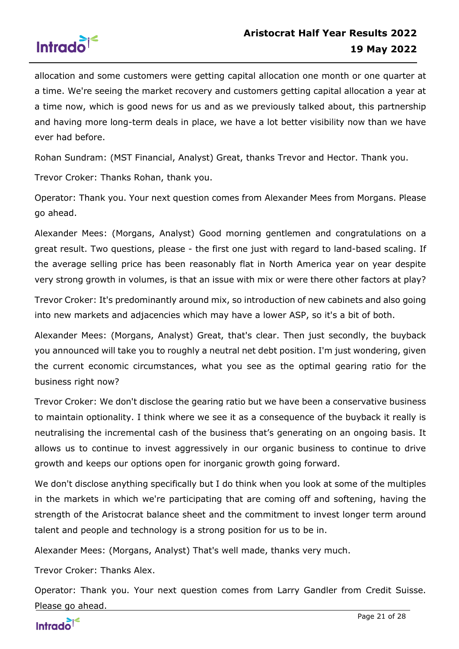

allocation and some customers were getting capital allocation one month or one quarter at a time. We're seeing the market recovery and customers getting capital allocation a year at a time now, which is good news for us and as we previously talked about, this partnership and having more long-term deals in place, we have a lot better visibility now than we have ever had before.

Rohan Sundram: (MST Financial, Analyst) Great, thanks Trevor and Hector. Thank you.

Trevor Croker: Thanks Rohan, thank you.

Operator: Thank you. Your next question comes from Alexander Mees from Morgans. Please go ahead.

Alexander Mees: (Morgans, Analyst) Good morning gentlemen and congratulations on a great result. Two questions, please - the first one just with regard to land-based scaling. If the average selling price has been reasonably flat in North America year on year despite very strong growth in volumes, is that an issue with mix or were there other factors at play?

Trevor Croker: It's predominantly around mix, so introduction of new cabinets and also going into new markets and adjacencies which may have a lower ASP, so it's a bit of both.

Alexander Mees: (Morgans, Analyst) Great, that's clear. Then just secondly, the buyback you announced will take you to roughly a neutral net debt position. I'm just wondering, given the current economic circumstances, what you see as the optimal gearing ratio for the business right now?

Trevor Croker: We don't disclose the gearing ratio but we have been a conservative business to maintain optionality. I think where we see it as a consequence of the buyback it really is neutralising the incremental cash of the business that's generating on an ongoing basis. It allows us to continue to invest aggressively in our organic business to continue to drive growth and keeps our options open for inorganic growth going forward.

We don't disclose anything specifically but I do think when you look at some of the multiples in the markets in which we're participating that are coming off and softening, having the strength of the Aristocrat balance sheet and the commitment to invest longer term around talent and people and technology is a strong position for us to be in.

Alexander Mees: (Morgans, Analyst) That's well made, thanks very much.

Trevor Croker: Thanks Alex.

Operator: Thank you. Your next question comes from Larry Gandler from Credit Suisse. Please go ahead.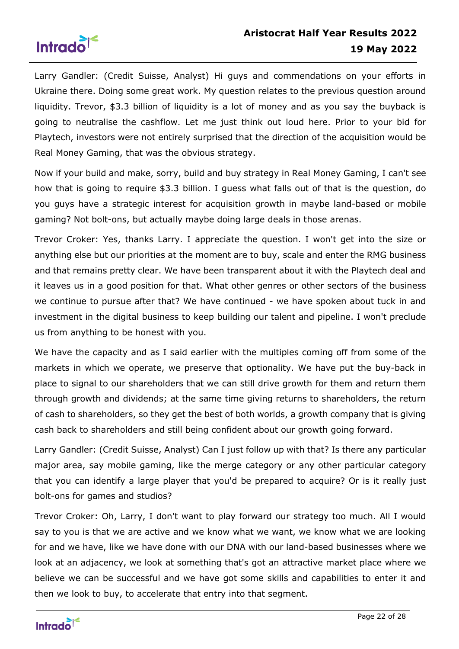

Larry Gandler: (Credit Suisse, Analyst) Hi guys and commendations on your efforts in Ukraine there. Doing some great work. My question relates to the previous question around liquidity. Trevor, \$3.3 billion of liquidity is a lot of money and as you say the buyback is going to neutralise the cashflow. Let me just think out loud here. Prior to your bid for Playtech, investors were not entirely surprised that the direction of the acquisition would be Real Money Gaming, that was the obvious strategy.

Now if your build and make, sorry, build and buy strategy in Real Money Gaming, I can't see how that is going to require \$3.3 billion. I guess what falls out of that is the question, do you guys have a strategic interest for acquisition growth in maybe land-based or mobile gaming? Not bolt-ons, but actually maybe doing large deals in those arenas.

Trevor Croker: Yes, thanks Larry. I appreciate the question. I won't get into the size or anything else but our priorities at the moment are to buy, scale and enter the RMG business and that remains pretty clear. We have been transparent about it with the Playtech deal and it leaves us in a good position for that. What other genres or other sectors of the business we continue to pursue after that? We have continued - we have spoken about tuck in and investment in the digital business to keep building our talent and pipeline. I won't preclude us from anything to be honest with you.

We have the capacity and as I said earlier with the multiples coming off from some of the markets in which we operate, we preserve that optionality. We have put the buy-back in place to signal to our shareholders that we can still drive growth for them and return them through growth and dividends; at the same time giving returns to shareholders, the return of cash to shareholders, so they get the best of both worlds, a growth company that is giving cash back to shareholders and still being confident about our growth going forward.

Larry Gandler: (Credit Suisse, Analyst) Can I just follow up with that? Is there any particular major area, say mobile gaming, like the merge category or any other particular category that you can identify a large player that you'd be prepared to acquire? Or is it really just bolt-ons for games and studios?

Trevor Croker: Oh, Larry, I don't want to play forward our strategy too much. All I would say to you is that we are active and we know what we want, we know what we are looking for and we have, like we have done with our DNA with our land-based businesses where we look at an adjacency, we look at something that's got an attractive market place where we believe we can be successful and we have got some skills and capabilities to enter it and then we look to buy, to accelerate that entry into that segment.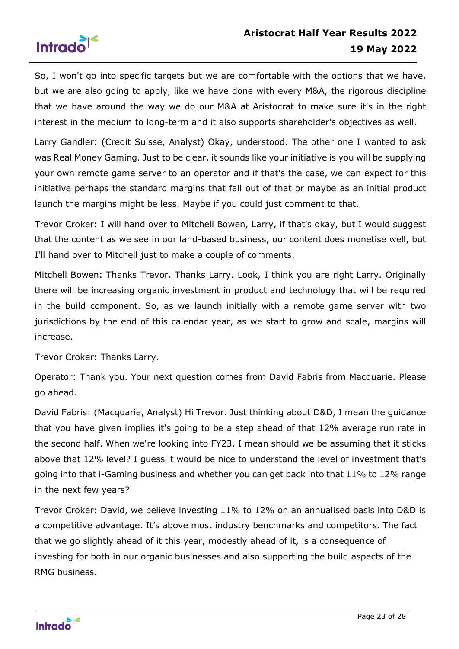

So, I won't go into specific targets but we are comfortable with the options that we have, but we are also going to apply, like we have done with every M&A, the rigorous discipline that we have around the way we do our M&A at Aristocrat to make sure it's in the right interest in the medium to long-term and it also supports shareholder's objectives as well.

Larry Gandler: (Credit Suisse, Analyst) Okay, understood. The other one I wanted to ask was Real Money Gaming. Just to be clear, it sounds like your initiative is you will be supplying your own remote game server to an operator and if that's the case, we can expect for this initiative perhaps the standard margins that fall out of that or maybe as an initial product launch the margins might be less. Maybe if you could just comment to that.

Trevor Croker: I will hand over to Mitchell Bowen, Larry, if that's okay, but I would suggest that the content as we see in our land-based business, our content does monetise well, but I'll hand over to Mitchell just to make a couple of comments.

Mitchell Bowen: Thanks Trevor. Thanks Larry. Look, I think you are right Larry. Originally there will be increasing organic investment in product and technology that will be required in the build component. So, as we launch initially with a remote game server with two jurisdictions by the end of this calendar year, as we start to grow and scale, margins will increase.

Trevor Croker: Thanks Larry.

Operator: Thank you. Your next question comes from David Fabris from Macquarie. Please go ahead.

David Fabris: (Macquarie, Analyst) Hi Trevor. Just thinking about D&D, I mean the guidance that you have given implies it's going to be a step ahead of that 12% average run rate in the second half. When we're looking into FY23, I mean should we be assuming that it sticks above that 12% level? I guess it would be nice to understand the level of investment that's going into that i-Gaming business and whether you can get back into that 11% to 12% range in the next few years?

Trevor Croker: David, we believe investing 11% to 12% on an annualised basis into D&D is a competitive advantage. It's above most industry benchmarks and competitors. The fact that we go slightly ahead of it this year, modestly ahead of it, is a consequence of investing for both in our organic businesses and also supporting the build aspects of the RMG business.

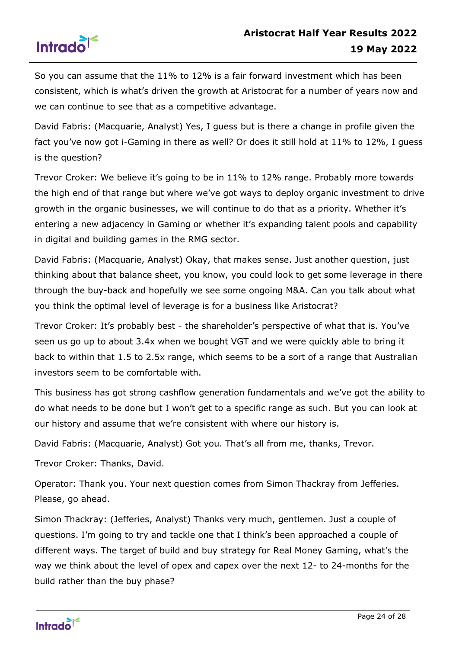

So you can assume that the 11% to 12% is a fair forward investment which has been consistent, which is what's driven the growth at Aristocrat for a number of years now and we can continue to see that as a competitive advantage.

David Fabris: (Macquarie, Analyst) Yes, I guess but is there a change in profile given the fact you've now got i-Gaming in there as well? Or does it still hold at 11% to 12%, I guess is the question?

Trevor Croker: We believe it's going to be in 11% to 12% range. Probably more towards the high end of that range but where we've got ways to deploy organic investment to drive growth in the organic businesses, we will continue to do that as a priority. Whether it's entering a new adjacency in Gaming or whether it's expanding talent pools and capability in digital and building games in the RMG sector.

David Fabris: (Macquarie, Analyst) Okay, that makes sense. Just another question, just thinking about that balance sheet, you know, you could look to get some leverage in there through the buy-back and hopefully we see some ongoing M&A. Can you talk about what you think the optimal level of leverage is for a business like Aristocrat?

Trevor Croker: It's probably best - the shareholder's perspective of what that is. You've seen us go up to about 3.4x when we bought VGT and we were quickly able to bring it back to within that 1.5 to 2.5x range, which seems to be a sort of a range that Australian investors seem to be comfortable with.

This business has got strong cashflow generation fundamentals and we've got the ability to do what needs to be done but I won't get to a specific range as such. But you can look at our history and assume that we're consistent with where our history is.

David Fabris: (Macquarie, Analyst) Got you. That's all from me, thanks, Trevor.

Trevor Croker: Thanks, David.

Operator: Thank you. Your next question comes from Simon Thackray from Jefferies. Please, go ahead.

Simon Thackray: (Jefferies, Analyst) Thanks very much, gentlemen. Just a couple of questions. I'm going to try and tackle one that I think's been approached a couple of different ways. The target of build and buy strategy for Real Money Gaming, what's the way we think about the level of opex and capex over the next 12- to 24-months for the build rather than the buy phase?

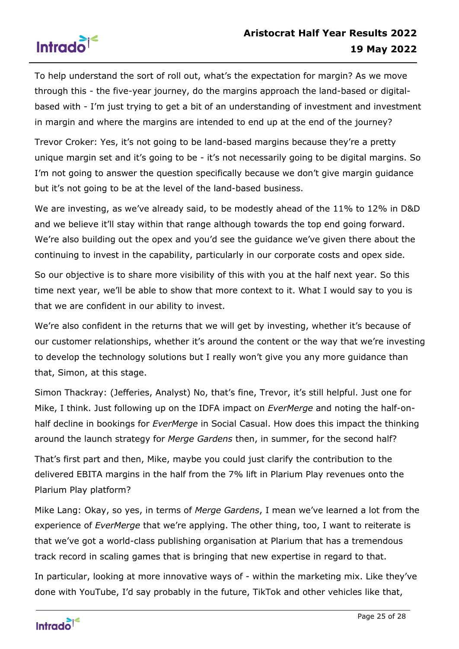

To help understand the sort of roll out, what's the expectation for margin? As we move through this - the five-year journey, do the margins approach the land-based or digitalbased with - I'm just trying to get a bit of an understanding of investment and investment in margin and where the margins are intended to end up at the end of the journey?

Trevor Croker: Yes, it's not going to be land-based margins because they're a pretty unique margin set and it's going to be - it's not necessarily going to be digital margins. So I'm not going to answer the question specifically because we don't give margin guidance but it's not going to be at the level of the land-based business.

We are investing, as we've already said, to be modestly ahead of the 11% to 12% in D&D and we believe it'll stay within that range although towards the top end going forward. We're also building out the opex and you'd see the guidance we've given there about the continuing to invest in the capability, particularly in our corporate costs and opex side.

So our objective is to share more visibility of this with you at the half next year. So this time next year, we'll be able to show that more context to it. What I would say to you is that we are confident in our ability to invest.

We're also confident in the returns that we will get by investing, whether it's because of our customer relationships, whether it's around the content or the way that we're investing to develop the technology solutions but I really won't give you any more guidance than that, Simon, at this stage.

Simon Thackray: (Jefferies, Analyst) No, that's fine, Trevor, it's still helpful. Just one for Mike, I think. Just following up on the IDFA impact on *EverMerge* and noting the half-onhalf decline in bookings for *EverMerge* in Social Casual. How does this impact the thinking around the launch strategy for *Merge Gardens* then, in summer, for the second half?

That's first part and then, Mike, maybe you could just clarify the contribution to the delivered EBITA margins in the half from the 7% lift in Plarium Play revenues onto the Plarium Play platform?

Mike Lang: Okay, so yes, in terms of *Merge Gardens*, I mean we've learned a lot from the experience of *EverMerge* that we're applying. The other thing, too, I want to reiterate is that we've got a world-class publishing organisation at Plarium that has a tremendous track record in scaling games that is bringing that new expertise in regard to that.

In particular, looking at more innovative ways of - within the marketing mix. Like they've done with YouTube, I'd say probably in the future, TikTok and other vehicles like that,

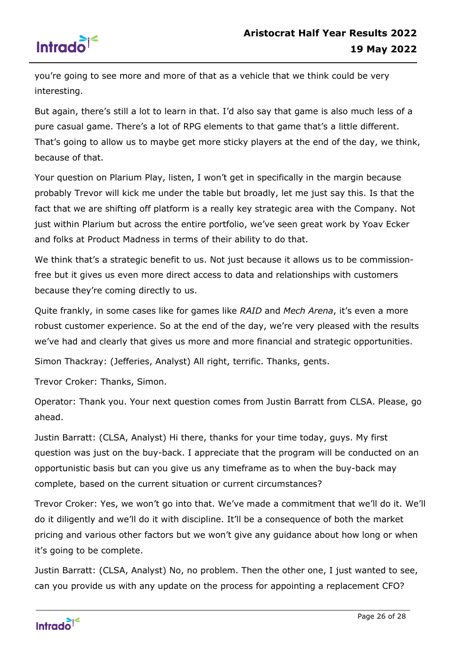

you're going to see more and more of that as a vehicle that we think could be very interesting.

But again, there's still a lot to learn in that. I'd also say that game is also much less of a pure casual game. There's a lot of RPG elements to that game that's a little different. That's going to allow us to maybe get more sticky players at the end of the day, we think, because of that.

Your question on Plarium Play, listen, I won't get in specifically in the margin because probably Trevor will kick me under the table but broadly, let me just say this. Is that the fact that we are shifting off platform is a really key strategic area with the Company. Not just within Plarium but across the entire portfolio, we've seen great work by Yoav Ecker and folks at Product Madness in terms of their ability to do that.

We think that's a strategic benefit to us. Not just because it allows us to be commissionfree but it gives us even more direct access to data and relationships with customers because they're coming directly to us.

Quite frankly, in some cases like for games like *RAID* and *Mech Arena*, it's even a more robust customer experience. So at the end of the day, we're very pleased with the results we've had and clearly that gives us more and more financial and strategic opportunities.

Simon Thackray: (Jefferies, Analyst) All right, terrific. Thanks, gents.

Trevor Croker: Thanks, Simon.

Operator: Thank you. Your next question comes from Justin Barratt from CLSA. Please, go ahead.

Justin Barratt: (CLSA, Analyst) Hi there, thanks for your time today, guys. My first question was just on the buy-back. I appreciate that the program will be conducted on an opportunistic basis but can you give us any timeframe as to when the buy-back may complete, based on the current situation or current circumstances?

Trevor Croker: Yes, we won't go into that. We've made a commitment that we'll do it. We'll do it diligently and we'll do it with discipline. It'll be a consequence of both the market pricing and various other factors but we won't give any guidance about how long or when it's going to be complete.

Justin Barratt: (CLSA, Analyst) No, no problem. Then the other one, I just wanted to see, can you provide us with any update on the process for appointing a replacement CFO?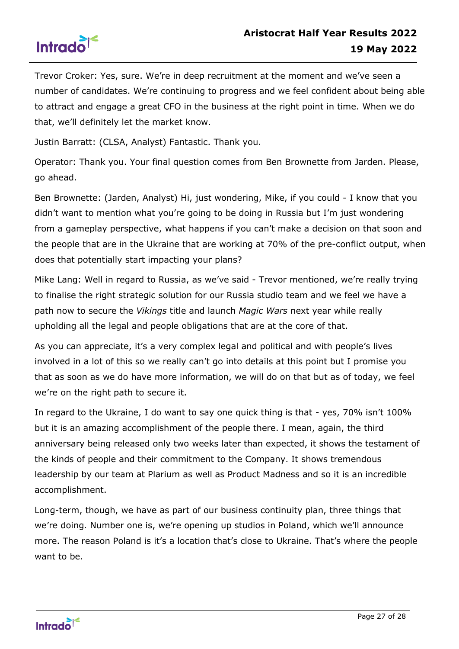

Trevor Croker: Yes, sure. We're in deep recruitment at the moment and we've seen a number of candidates. We're continuing to progress and we feel confident about being able to attract and engage a great CFO in the business at the right point in time. When we do that, we'll definitely let the market know.

Justin Barratt: (CLSA, Analyst) Fantastic. Thank you.

Operator: Thank you. Your final question comes from Ben Brownette from Jarden. Please, go ahead.

Ben Brownette: (Jarden, Analyst) Hi, just wondering, Mike, if you could - I know that you didn't want to mention what you're going to be doing in Russia but I'm just wondering from a gameplay perspective, what happens if you can't make a decision on that soon and the people that are in the Ukraine that are working at 70% of the pre-conflict output, when does that potentially start impacting your plans?

Mike Lang: Well in regard to Russia, as we've said - Trevor mentioned, we're really trying to finalise the right strategic solution for our Russia studio team and we feel we have a path now to secure the *Vikings* title and launch *Magic Wars* next year while really upholding all the legal and people obligations that are at the core of that.

As you can appreciate, it's a very complex legal and political and with people's lives involved in a lot of this so we really can't go into details at this point but I promise you that as soon as we do have more information, we will do on that but as of today, we feel we're on the right path to secure it.

In regard to the Ukraine, I do want to say one quick thing is that - yes, 70% isn't 100% but it is an amazing accomplishment of the people there. I mean, again, the third anniversary being released only two weeks later than expected, it shows the testament of the kinds of people and their commitment to the Company. It shows tremendous leadership by our team at Plarium as well as Product Madness and so it is an incredible accomplishment.

Long-term, though, we have as part of our business continuity plan, three things that we're doing. Number one is, we're opening up studios in Poland, which we'll announce more. The reason Poland is it's a location that's close to Ukraine. That's where the people want to be.